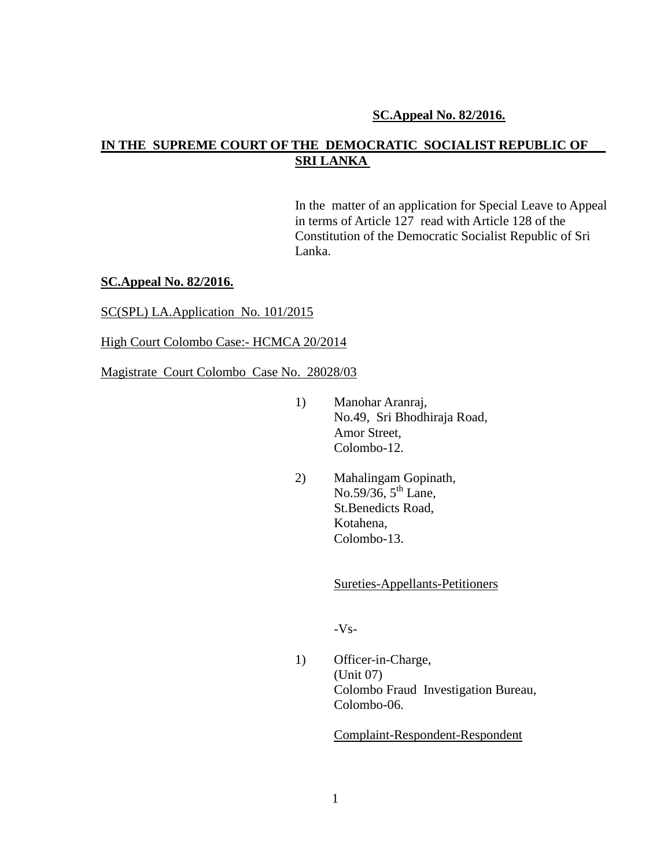## **SC.Appeal No. 82/2016.**

# **IN THE SUPREME COURT OF THE DEMOCRATIC SOCIALIST REPUBLIC OF SRI LANKA**

In the matter of an application for Special Leave to Appeal in terms of Article 127 read with Article 128 of the Constitution of the Democratic Socialist Republic of Sri Lanka.

### **SC.Appeal No. 82/2016.**

SC(SPL) LA.Application No. 101/2015

High Court Colombo Case:- HCMCA 20/2014

Magistrate Court Colombo Case No. 28028/03

- 1) Manohar Aranraj, No.49, Sri Bhodhiraja Road, Amor Street, Colombo-12.
- 2) Mahalingam Gopinath, No.59/36,  $5^{th}$  Lane, St.Benedicts Road, Kotahena, Colombo-13.

Sureties-Appellants-Petitioners

-Vs-

1) Officer-in-Charge, (Unit 07) Colombo Fraud Investigation Bureau, Colombo-06.

Complaint-Respondent-Respondent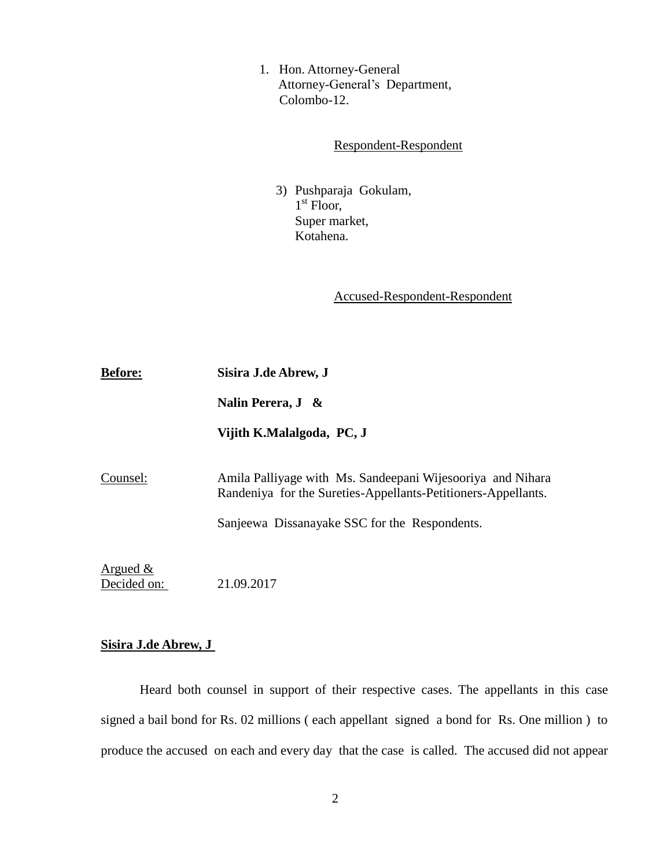1. Hon. Attorney-General Attorney-General's Department, Colombo-12.

## Respondent-Respondent

 3) Pushparaja Gokulam, 1<sup>st</sup> Floor, Super market, Kotahena.

Accused-Respondent-Respondent

| <b>Before:</b>             | Sisira J.de Abrew, J                                                                                                        |
|----------------------------|-----------------------------------------------------------------------------------------------------------------------------|
|                            | Nalin Perera, $J \&$                                                                                                        |
|                            | Vijith K.Malalgoda, PC, J                                                                                                   |
| Counsel:                   | Amila Palliyage with Ms. Sandeepani Wijesooriya and Nihara<br>Randeniya for the Sureties-Appellants-Petitioners-Appellants. |
|                            | Sanjeewa Dissanayake SSC for the Respondents.                                                                               |
| Argued $\&$<br>Decided on: | 21.09.2017                                                                                                                  |

# **Sisira J.de Abrew, J**

Heard both counsel in support of their respective cases. The appellants in this case signed a bail bond for Rs. 02 millions ( each appellant signed a bond for Rs. One million ) to produce the accused on each and every day that the case is called. The accused did not appear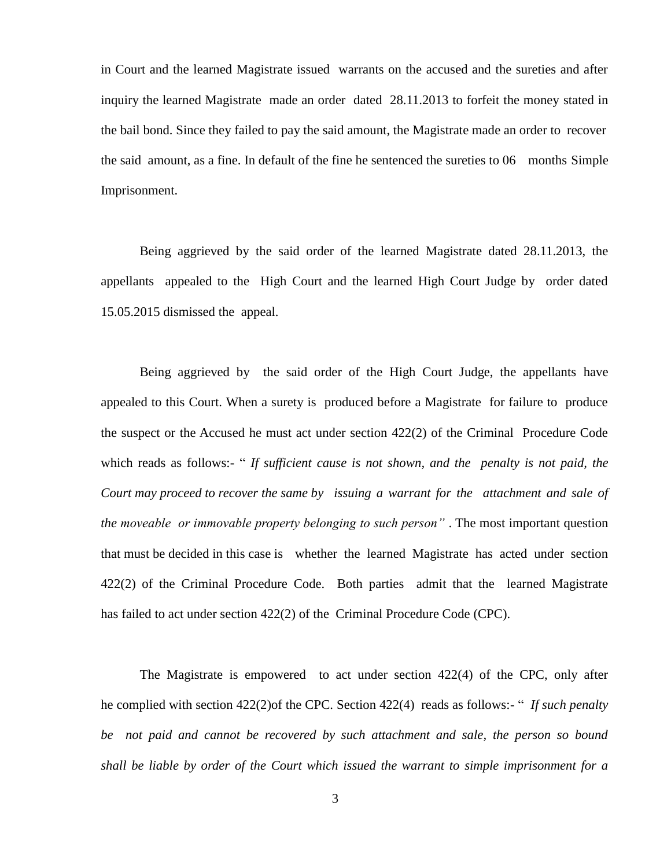in Court and the learned Magistrate issued warrants on the accused and the sureties and after inquiry the learned Magistrate made an order dated 28.11.2013 to forfeit the money stated in the bail bond. Since they failed to pay the said amount, the Magistrate made an order to recover the said amount, as a fine. In default of the fine he sentenced the sureties to 06 months Simple Imprisonment.

Being aggrieved by the said order of the learned Magistrate dated 28.11.2013, the appellants appealed to the High Court and the learned High Court Judge by order dated 15.05.2015 dismissed the appeal.

Being aggrieved by the said order of the High Court Judge, the appellants have appealed to this Court. When a surety is produced before a Magistrate for failure to produce the suspect or the Accused he must act under section 422(2) of the Criminal Procedure Code which reads as follows:- " If sufficient cause is not shown, and the penalty is not paid, the *Court may proceed to recover the same by issuing a warrant for the attachment and sale of the moveable or immovable property belonging to such person"* . The most important question that must be decided in this case is whether the learned Magistrate has acted under section 422(2) of the Criminal Procedure Code. Both parties admit that the learned Magistrate has failed to act under section 422(2) of the Criminal Procedure Code (CPC).

The Magistrate is empowered to act under section 422(4) of the CPC, only after he complied with section 422(2)of the CPC. Section 422(4) reads as follows:- " *If such penalty be not paid and cannot be recovered by such attachment and sale, the person so bound shall be liable by order of the Court which issued the warrant to simple imprisonment for a*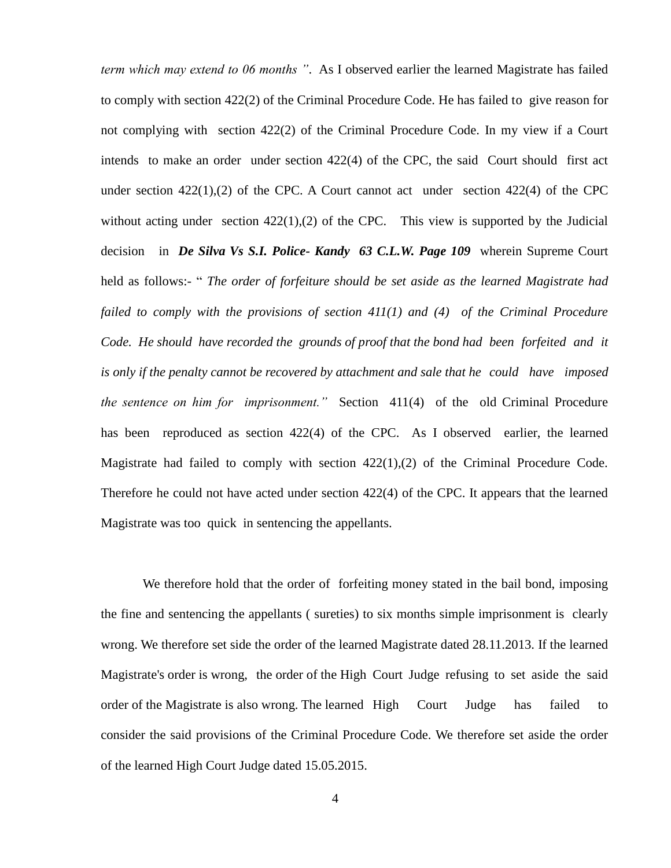*term which may extend to 06 months "*. As I observed earlier the learned Magistrate has failed to comply with section 422(2) of the Criminal Procedure Code. He has failed to give reason for not complying with section 422(2) of the Criminal Procedure Code. In my view if a Court intends to make an order under section 422(4) of the CPC, the said Court should first act under section  $422(1)$ , (2) of the CPC. A Court cannot act under section  $422(4)$  of the CPC without acting under section  $422(1)$ , (2) of the CPC. This view is supported by the Judicial decision in *De Silva Vs S.I. Police- Kandy 63 C.L.W. Page 109* wherein Supreme Court held as follows:- " *The order of forfeiture should be set aside as the learned Magistrate had failed to comply with the provisions of section 411(1) and (4) of the Criminal Procedure Code. He should have recorded the grounds of proof that the bond had been forfeited and it is only if the penalty cannot be recovered by attachment and sale that he could have imposed the sentence on him for imprisonment."* Section 411(4) of the old Criminal Procedure has been reproduced as section 422(4) of the CPC. As I observed earlier, the learned Magistrate had failed to comply with section  $422(1),(2)$  of the Criminal Procedure Code. Therefore he could not have acted under section 422(4) of the CPC. It appears that the learned Magistrate was too quick in sentencing the appellants.

We therefore hold that the order of forfeiting money stated in the bail bond, imposing the fine and sentencing the appellants ( sureties) to six months simple imprisonment is clearly wrong. We therefore set side the order of the learned Magistrate dated 28.11.2013. If the learned Magistrate's order is wrong, the order of the High Court Judge refusing to set aside the said order of the Magistrate is also wrong. The learned High Court Judge has failed to consider the said provisions of the Criminal Procedure Code. We therefore set aside the order of the learned High Court Judge dated 15.05.2015.